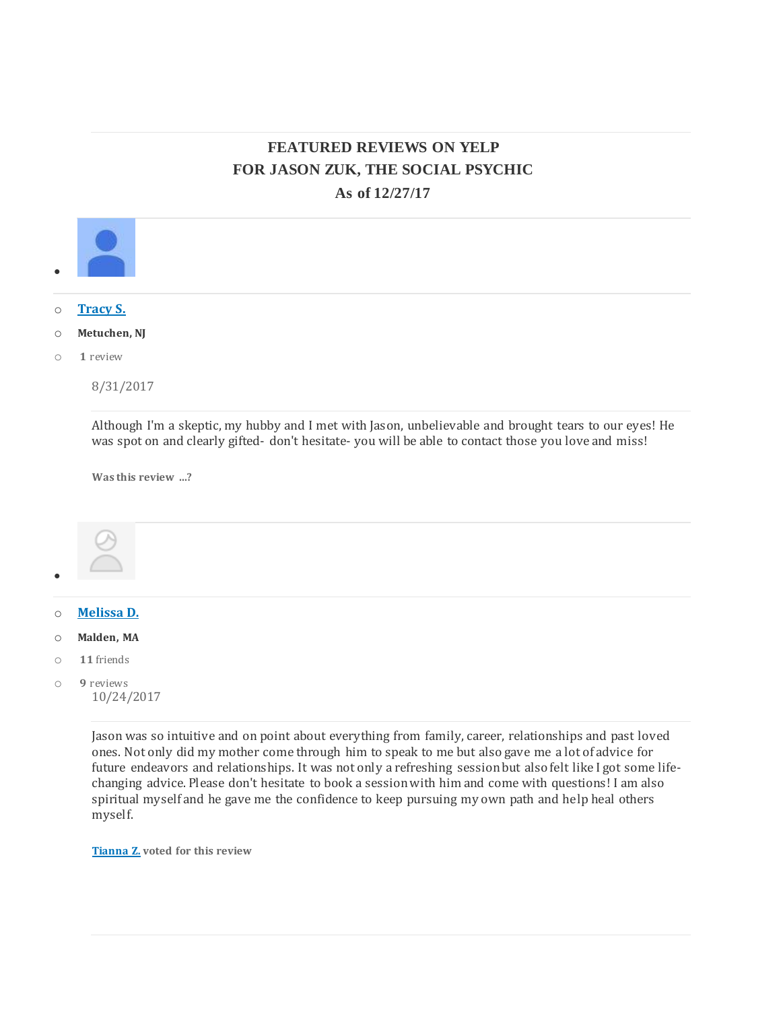# **FEATURED REVIEWS ON YELP FOR JASON ZUK, THE SOCIAL PSYCHIC As of 12/27/17**



Jason was so intuitive and on point about everything from family, career, relationships and past loved ones. Not only did my mother come through him to speak to me but also gave me a lot of advice for future endeavors and relationships. It was not only a refreshing session but also felt like I got some lifechanging advice. Please don't hesitate to book a session with him and come with questions! I am also spiritual myself and he gave me the confidence to keep pursuing my own path and help heal others myself.

**[Tianna](javascript:;) Z. voted for this review**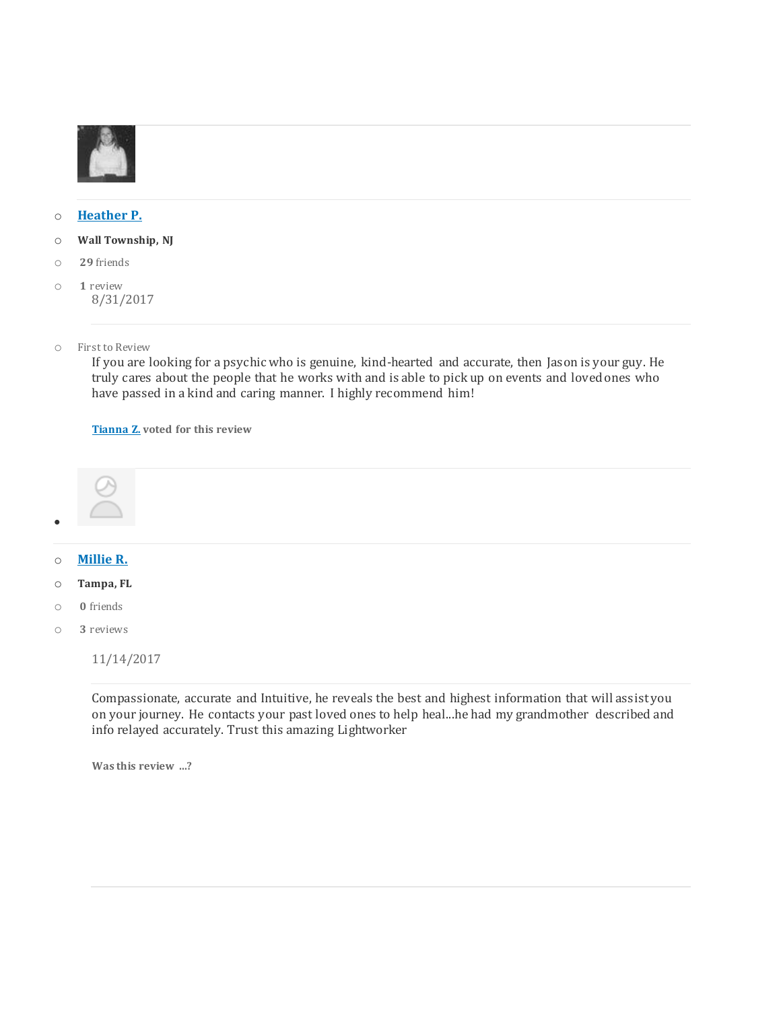

#### o **[Heather](https://www.yelp.com/user_details?userid=isQWlhT4jmJShRQrF6n2UA) P.**

- o **Wall Township, NJ**
- o **29** friends
- o **1** review 8/31/2017
- o First to Review

If you are looking for a psychic who is genuine, kind-hearted and accurate, then Jason is your guy. He truly cares about the people that he works with and is able to pick up on events and loved ones who have passed in a kind and caring manner. I highly recommend him!

**[Tianna](javascript:;) Z. voted for this review**



 $\bullet$ 

- o **[Millie](https://www.yelp.com/user_details?userid=raF7e4KFc5pvxQsP0tXYUg) R.**
- o **Tampa, FL**
- o **0** friends
- o **3** reviews

11/14/2017

Compassionate, accurate and Intuitive, he reveals the best and highest information that will assistyou on your journey. He contacts your past loved ones to help heal...he had my grandmother described and info relayed accurately. Trust this amazing Lightworker

**Was this review …?**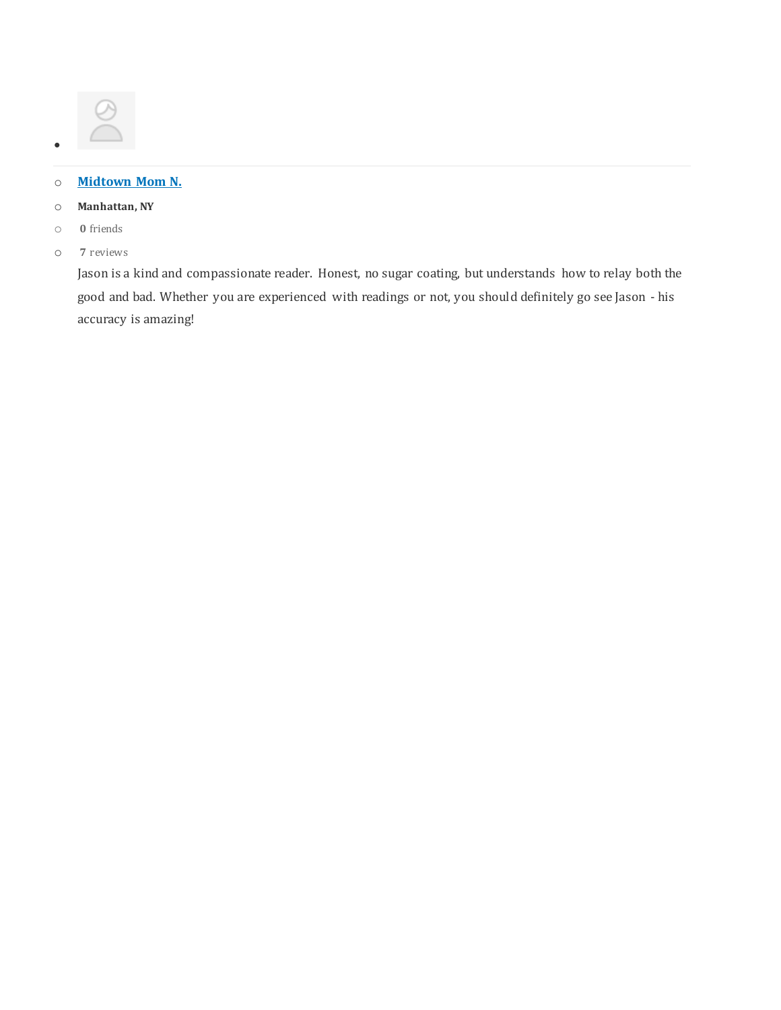# o **[Midtown](https://www.yelp.com/user_details?userid=i4QLFCecSlXL5TmAClJatA) Mom N.**

- o **Manhattan, NY**
- o **0** friends

 $\bullet$ 

o **7** reviews

Jason is a kind and compassionate reader. Honest, no sugar coating, but understands how to relay both the good and bad. Whether you are experienced with readings or not, you should definitely go see Jason - his accuracy is amazing!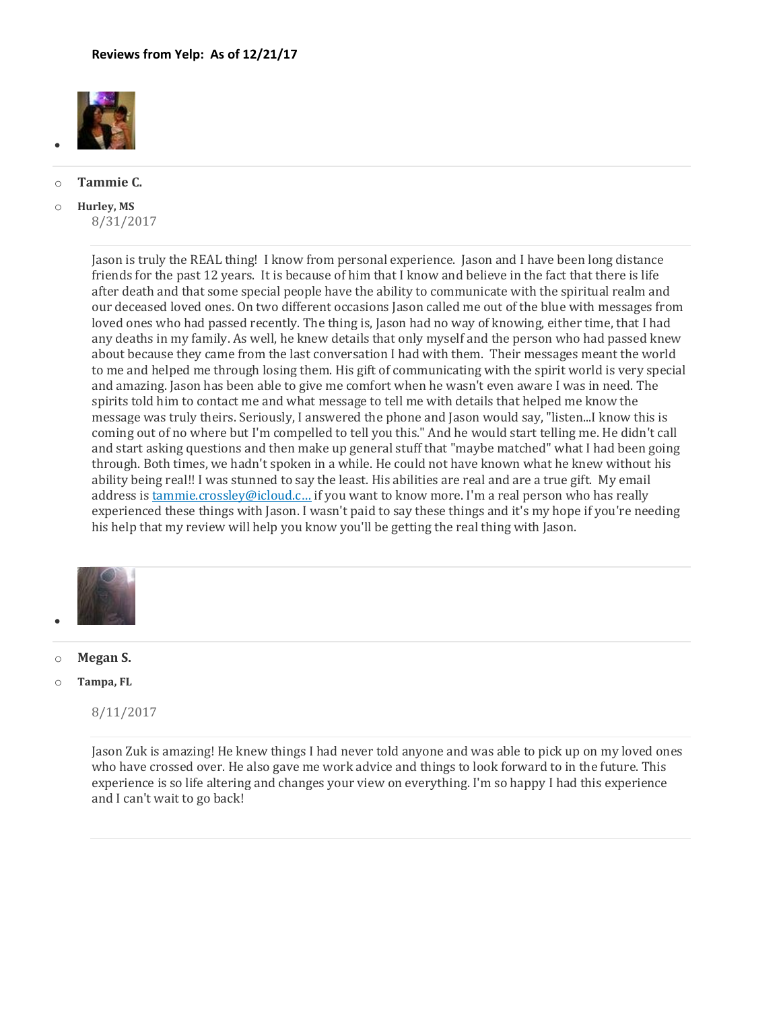

#### o **Tammie C.**

•

o **Hurley, MS** 8/31/2017

> Jason is truly the REAL thing! I know from personal experience. Jason and I have been long distance friends for the past 12 years. It is because of him that I know and believe in the fact that there is life after death and that some special people have the ability to communicate with the spiritual realm and our deceased loved ones. On two different occasions Jason called me out of the blue with messages from loved ones who had passed recently. The thing is, Jason had no way of knowing, either time, that I had any deaths in my family. As well, he knew details that only myself and the person who had passed knew about because they came from the last conversation I had with them. Their messages meant the world to me and helped me through losing them. His gift of communicating with the spirit world is very special and amazing. Jason has been able to give me comfort when he wasn't even aware I was in need. The spirits told him to contact me and what message to tell me with details that helped me know the message was truly theirs. Seriously, I answered the phone and Jason would say, "listen...I know this is coming out of no where but I'm compelled to tell you this." And he would start telling me. He didn't call and start asking questions and then make up general stuff that "maybe matched" what I had been going through. Both times, we hadn't spoken in a while. He could not have known what he knew without his ability being real!! I was stunned to say the least. His abilities are real and are a true gift. My email address is tammie.crossley@icloud.c... if you want to know more. I'm a real person who has really experienced these things with Jason. I wasn't paid to say these things and it's my hope if you're needing his help that my review will help you know you'll be getting the real thing with Jason.



o **Megan S.**

o **Tampa, FL**

8/11/2017

Jason Zuk is amazing! He knew things I had never told anyone and was able to pick up on my loved ones who have crossed over. He also gave me work advice and things to look forward to in the future. This experience is so life altering and changes your view on everything. I'm so happy I had this experience and I can't wait to go back!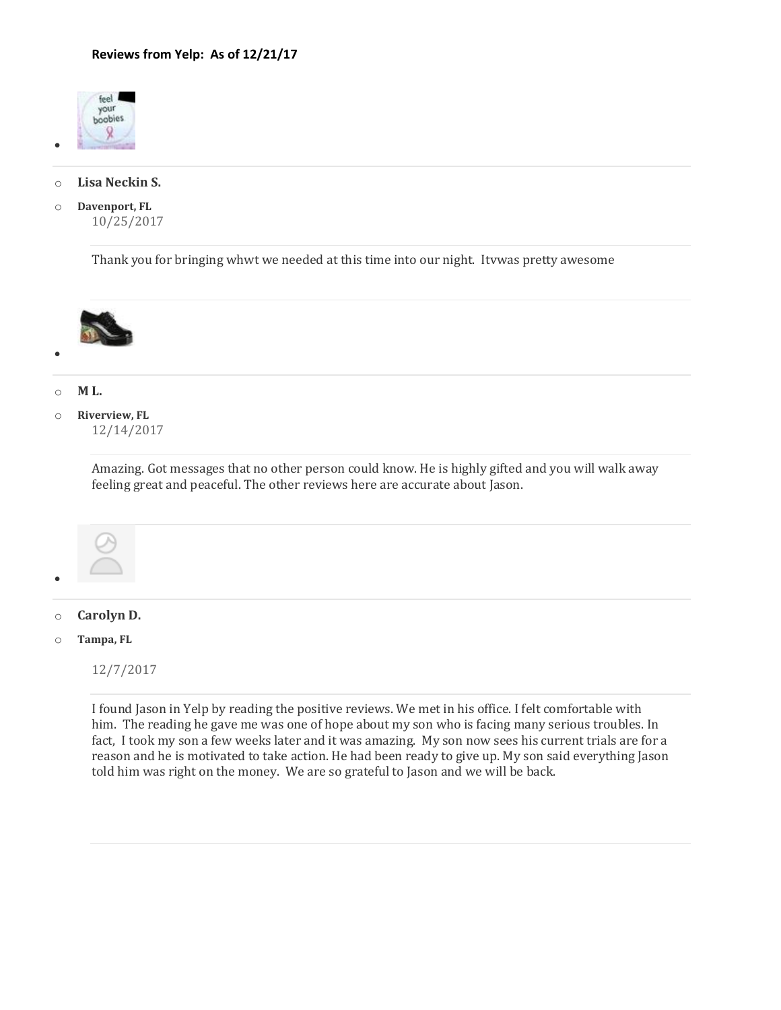

•

# o **Lisa Neckin S.**

o **Davenport, FL** 10/25/2017

Thank you for bringing whwt we needed at this time into our night. Itvwas pretty awesome



# o **M L.**

•

o **Riverview, FL** 12/14/2017

> Amazing. Got messages that no other person could know. He is highly gifted and you will walk away feeling great and peaceful. The other reviews here are accurate about Jason.



# o **Carolyn D.**

#### o **Tampa, FL**

12/7/2017

I found Jason in Yelp by reading the positive reviews. We met in his office. I felt comfortable with him. The reading he gave me was one of hope about my son who is facing many serious troubles. In fact, I took my son a few weeks later and it was amazing. My son now sees his current trials are for a reason and he is motivated to take action. He had been ready to give up. My son said everything Jason told him was right on the money. We are so grateful to Jason and we will be back.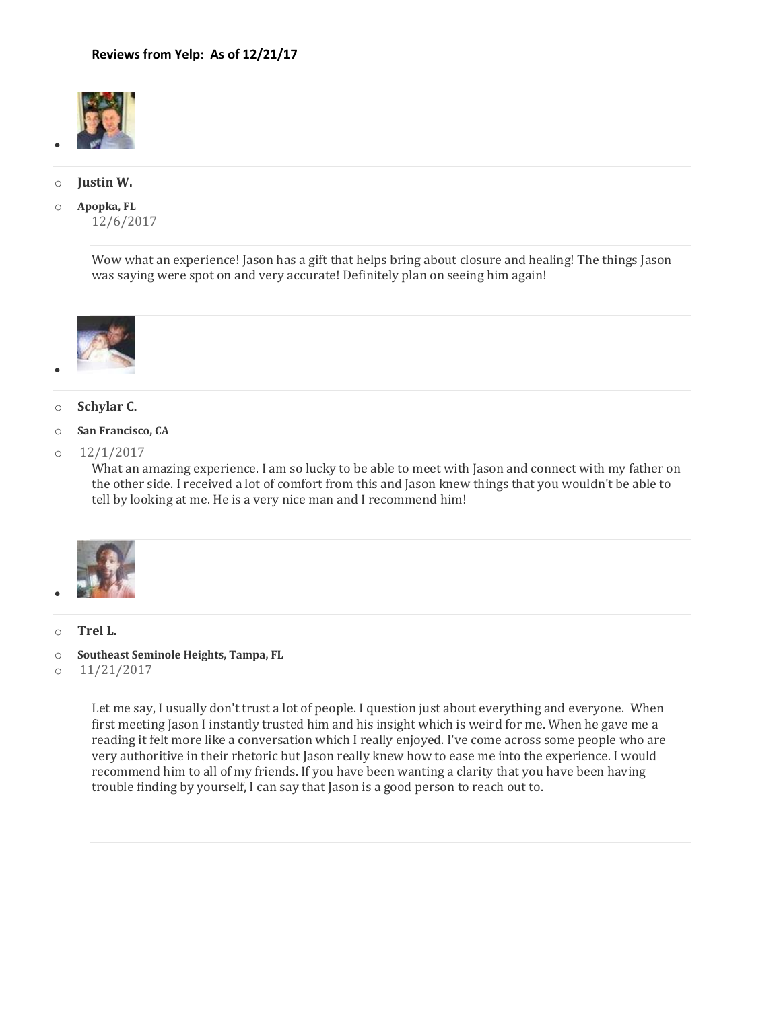

## o **Justin W.**

•

o **Apopka, FL** 12/6/2017

> Wow what an experience! Jason has a gift that helps bring about closure and healing! The things Jason was saying were spot on and very accurate! Definitely plan on seeing him again!



# o **Schylar C.**

- o **San Francisco, CA**
- $0$   $12/1/2017$

What an amazing experience. I am so lucky to be able to meet with Jason and connect with my father on the other side. I received a lot of comfort from this and Jason knew things that you wouldn't be able to tell by looking at me. He is a very nice man and I recommend him!



o **Trel L.**

•

- o **Southeast Seminole Heights, Tampa, FL**
- o 11/21/2017

Let me say, I usually don't trust a lot of people. I question just about everything and everyone. When first meeting Jason I instantly trusted him and his insight which is weird for me. When he gave me a reading it felt more like a conversation which I really enjoyed. I've come across some people who are very authoritive in their rhetoric but Jason really knew how to ease me into the experience. I would recommend him to all of my friends. If you have been wanting a clarity that you have been having trouble finding by yourself, I can say that Jason is a good person to reach out to.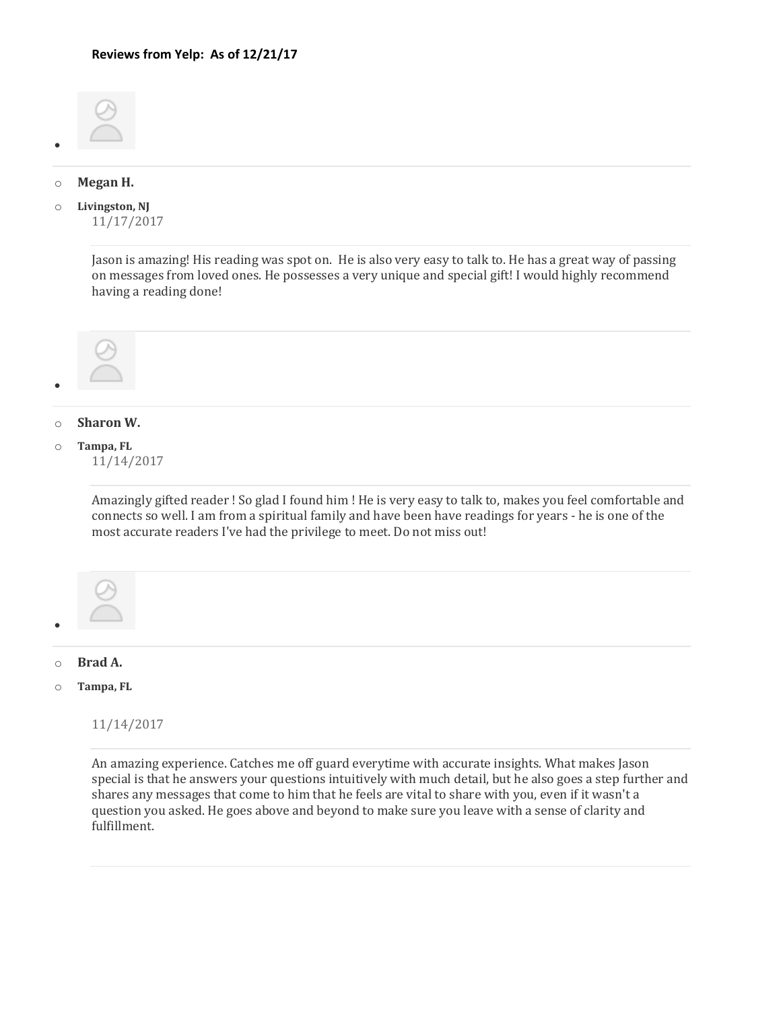

#### o **Megan H.**

•

o **Livingston, NJ** 11/17/2017

> Jason is amazing! His reading was spot on. He is also very easy to talk to. He has a great way of passing on messages from loved ones. He possesses a very unique and special gift! I would highly recommend having a reading done!



# o **Sharon W.**

# o **Tampa, FL**

11/14/2017

Amazingly gifted reader ! So glad I found him ! He is very easy to talk to, makes you feel comfortable and connects so well. I am from a spiritual family and have been have readings for years - he is one of the most accurate readers I've had the privilege to meet. Do not miss out!



#### o **Brad A.**

o **Tampa, FL**

11/14/2017

An amazing experience. Catches me off guard everytime with accurate insights. What makes Jason special is that he answers your questions intuitively with much detail, but he also goes a step further and shares any messages that come to him that he feels are vital to share with you, even if it wasn't a question you asked. He goes above and beyond to make sure you leave with a sense of clarity and fulfillment.